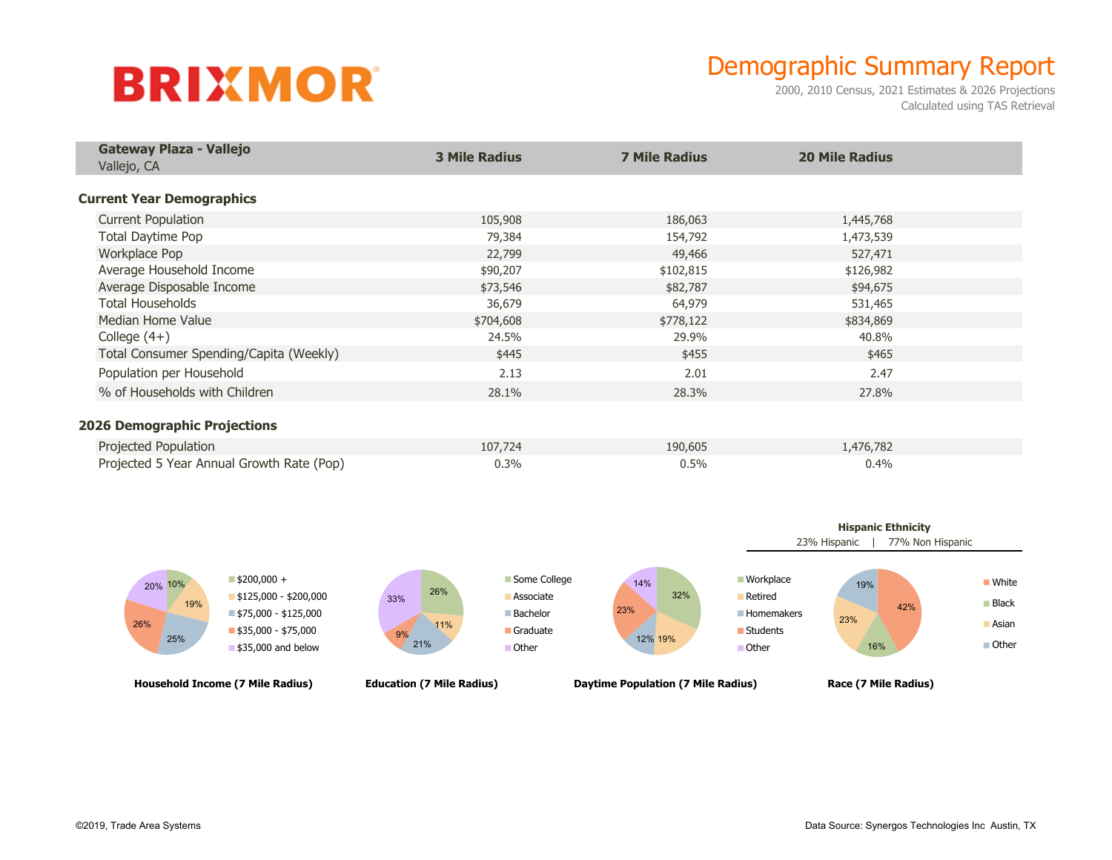## **BRIXMOR**

## Demographic Summary Report

2000, 2010 Census, 2021 Estimates & 2026 Projections Calculated using TAS Retrieval

| Gateway Plaza - Vallejo<br>Vallejo, CA    | <b>3 Mile Radius</b> | <b>7 Mile Radius</b> | <b>20 Mile Radius</b> |  |
|-------------------------------------------|----------------------|----------------------|-----------------------|--|
| <b>Current Year Demographics</b>          |                      |                      |                       |  |
| <b>Current Population</b>                 | 105,908              | 186,063              | 1,445,768             |  |
| Total Daytime Pop                         | 79,384               | 154,792              | 1,473,539             |  |
| Workplace Pop                             | 22,799               | 49,466               | 527,471               |  |
| Average Household Income                  | \$90,207             | \$102,815            | \$126,982             |  |
| Average Disposable Income                 | \$73,546             | \$82,787             | \$94,675              |  |
| <b>Total Households</b>                   | 36,679               | 64,979               | 531,465               |  |
| Median Home Value                         | \$704,608            | \$778,122            | \$834,869             |  |
| College $(4+)$                            | 24.5%                | 29.9%                | 40.8%                 |  |
| Total Consumer Spending/Capita (Weekly)   | \$445                | \$455                | \$465                 |  |
| Population per Household                  | 2.13                 | 2.01                 | 2.47                  |  |
| % of Households with Children             | 28.1%                | 28.3%                | 27.8%                 |  |
| <b>2026 Demographic Projections</b>       |                      |                      |                       |  |
| Projected Population                      | 107,724              | 190,605              | 1,476,782             |  |
| Projected 5 Year Annual Growth Rate (Pop) | 0.3%                 | 0.5%                 | 0.4%                  |  |